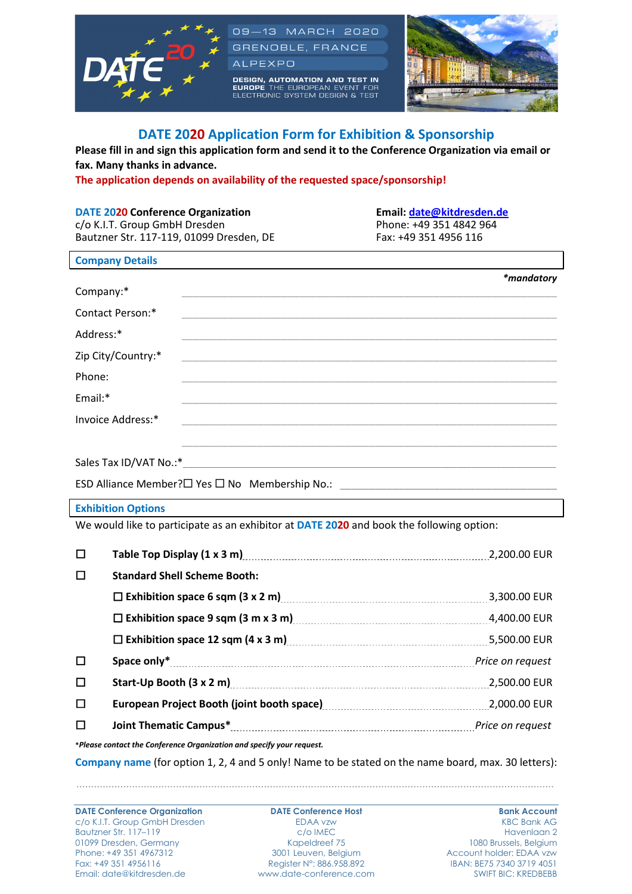

# **DATE 2020 Application Form for Exhibition & Sponsorship**

**Please fill in and sign this application form and send it to the Conference Organization via email or fax. Many thanks in advance.** 

**The application depends on availability of the requested space/sponsorship!** 

# **DATE 2020 Conference Organization** Email: date@kitdresden.de c/o K.I.T. Group GmbH Dresden Phone: +49 351 4842 964

Bautzner Str. 117-119, 01099 Dresden, DE Fax: +49 351 4956 116

| <b>Company Details</b> |                   |
|------------------------|-------------------|
|                        | <i>*mandatory</i> |
| Company:*              |                   |
| Contact Person:*       |                   |
| Address:*              |                   |
| Zip City/Country:*     |                   |
| Phone:                 |                   |
| Email:*                |                   |
| Invoice Address:*      |                   |
|                        |                   |
|                        |                   |

Sales Tax ID/VAT No.:\*

ESD Alliance Member? $\Box$  Yes  $\Box$  No Membership No.:

### **Exhibition Options**

We would like to participate as an exhibitor at **DATE 2020** and book the following option:

| □ | Table Top Display (1 x 3 m)                                                                                                                                                                                                    | 2,200.00 EUR     |
|---|--------------------------------------------------------------------------------------------------------------------------------------------------------------------------------------------------------------------------------|------------------|
| □ | <b>Standard Shell Scheme Booth:</b>                                                                                                                                                                                            |                  |
|   | $\Box$ Exhibition space 6 sqm (3 x 2 m) $\Box$ Exhibition space 6 sqm (3 x 2 m)                                                                                                                                                | 3,300.00 EUR     |
|   | $\square$ Exhibition space 9 sqm (3 m x 3 m) $\ldots$ $\ldots$ $\ldots$ $\ldots$ $\ldots$ $\ldots$ $\ldots$ $\ldots$ $\ldots$                                                                                                  | 4,400.00 EUR     |
|   | □ Exhibition space 12 sqm (4 x 3 m)                                                                                                                                                                                            | 5,500.00 EUR     |
| □ |                                                                                                                                                                                                                                | Price on request |
| □ |                                                                                                                                                                                                                                | 2,500.00 EUR     |
| □ | European Project Booth (joint booth space) [11] European Project Booth (joint booth space) [11] European Project Booth (joint booth space) [11] European Project Booth (joint booth space) [11] Booth Supply Project Booth Sup |                  |
| □ |                                                                                                                                                                                                                                |                  |
|   | *Please contact the Conference Organization and specify your request.                                                                                                                                                          |                  |

**Company name** (for option 1, 2, 4 and 5 only! Name to be stated on the name board, max. 30 letters):

...................................................................................................................................................................

**DATE Conference Organization CONTE Conference Host Bank Account** c/o K.I.T. Group GmbH Dresden EDAA vzw KBC Bank AG Bautzner Str. 117–119 c/o IMEC Havenlaan 2 01099 Dresden, Germany Kapeldreef 75<br>
Phone: +49 351 4967312 3001 Leuven, Belgium Fax: +49 351 4956116 Register N°: 886.958.892 IBAN: BE75 7340 3719 4051 Email: date@kitdresden.de www.date-conference.com SWIFT BIC: KREDBEBB

Account holder: EDAA vzw